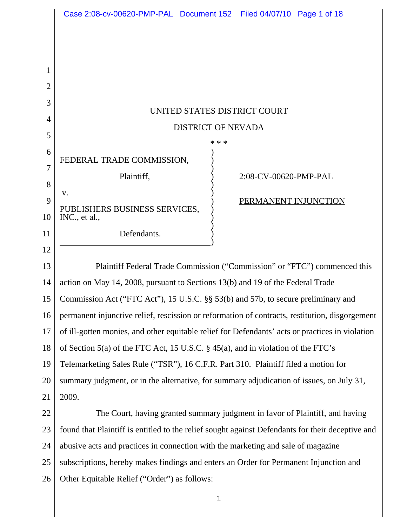|                | Case 2:08-cv-00620-PMP-PAL Document 152 Filed 04/07/10 Page 1 of 18                              |  |
|----------------|--------------------------------------------------------------------------------------------------|--|
|                |                                                                                                  |  |
|                |                                                                                                  |  |
| 1              |                                                                                                  |  |
| $\overline{2}$ |                                                                                                  |  |
| 3              |                                                                                                  |  |
| 4              | UNITED STATES DISTRICT COURT                                                                     |  |
| 5              | <b>DISTRICT OF NEVADA</b>                                                                        |  |
| 6              | * * *                                                                                            |  |
| 7              | FEDERAL TRADE COMMISSION,                                                                        |  |
| 8              | Plaintiff,<br>2:08-CV-00620-PMP-PAL                                                              |  |
| 9              | V.<br>PERMANENT INJUNCTION                                                                       |  |
| 10             | PUBLISHERS BUSINESS SERVICES,<br>INC., et al.,                                                   |  |
| 11             | Defendants.                                                                                      |  |
| 12             |                                                                                                  |  |
| 13             | Plaintiff Federal Trade Commission ("Commission" or "FTC") commenced this                        |  |
| 14             | action on May 14, 2008, pursuant to Sections 13(b) and 19 of the Federal Trade                   |  |
| 15             | Commission Act ("FTC Act"), 15 U.S.C. §§ 53(b) and 57b, to secure preliminary and                |  |
| 16             | permanent injunctive relief, rescission or reformation of contracts, restitution, disgorgement   |  |
| 17             | of ill-gotten monies, and other equitable relief for Defendants' acts or practices in violation  |  |
| 18             | of Section 5(a) of the FTC Act, 15 U.S.C. § 45(a), and in violation of the FTC's                 |  |
| 19             | Telemarketing Sales Rule ("TSR"), 16 C.F.R. Part 310. Plaintiff filed a motion for               |  |
| 20             | summary judgment, or in the alternative, for summary adjudication of issues, on July 31,         |  |
| 21             | 2009.                                                                                            |  |
| 22             | The Court, having granted summary judgment in favor of Plaintiff, and having                     |  |
| 23             | found that Plaintiff is entitled to the relief sought against Defendants for their deceptive and |  |
| 24             | abusive acts and practices in connection with the marketing and sale of magazine                 |  |
| 25             | subscriptions, hereby makes findings and enters an Order for Permanent Injunction and            |  |
| 26             | Other Equitable Relief ("Order") as follows:                                                     |  |
|                | 1                                                                                                |  |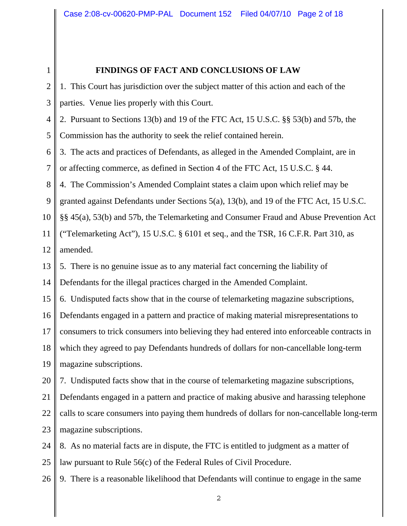#### **FINDINGS OF FACT AND CONCLUSIONS OF LAW**

 $\mathcal{D}_{\mathcal{L}}$ 3 4 5 6 7 8 9 10 11 12 13 14 15 16 17 18 19 20 21 22 23 24 25 26 1. This Court has jurisdiction over the subject matter of this action and each of the parties. Venue lies properly with this Court. 2. Pursuant to Sections 13(b) and 19 of the FTC Act, 15 U.S.C. §§ 53(b) and 57b, the Commission has the authority to seek the relief contained herein. 3. The acts and practices of Defendants, as alleged in the Amended Complaint, are in or affecting commerce, as defined in Section 4 of the FTC Act, 15 U.S.C. § 44. 4. The Commission's Amended Complaint states a claim upon which relief may be granted against Defendants under Sections 5(a), 13(b), and 19 of the FTC Act, 15 U.S.C. §§ 45(a), 53(b) and 57b, the Telemarketing and Consumer Fraud and Abuse Prevention Act ("Telemarketing Act"),  $15 \text{ U.S.C. }$  § 6101 et seq., and the TSR, 16 C.F.R. Part 310, as amended. 5. There is no genuine issue as to any material fact concerning the liability of Defendants for the illegal practices charged in the Amended Complaint. 6. Undisputed facts show that in the course of telemarketing magazine subscriptions, Defendants engaged in a pattern and practice of making material misrepresentations to consumers to trick consumers into believing they had entered into enforceable contracts in which they agreed to pay Defendants hundreds of dollars for non-cancellable long-term magazine subscriptions. 7. Undisputed facts show that in the course of telemarketing magazine subscriptions, Defendants engaged in a pattern and practice of making abusive and harassing telephone calls to scare consumers into paying them hundreds of dollars for non-cancellable long-term magazine subscriptions. 8. As no material facts are in dispute, the FTC is entitled to judgment as a matter of law pursuant to Rule 56(c) of the Federal Rules of Civil Procedure. 9. There is a reasonable likelihood that Defendants will continue to engage in the same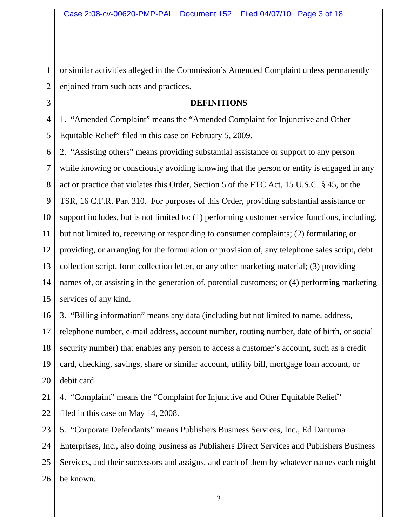1 2 or similar activities alleged in the Commission's Amended Complaint unless permanently enjoined from such acts and practices.

#### **DEFINITIONS**

4 5 1. "Amended Complaint" means the "Amended Complaint for Injunctive and Other Equitable Relief" filed in this case on February 5, 2009.

3

6 7 8 9 10 11 12 13 14 15 2. "Assisting others" means providing substantial assistance or support to any person while knowing or consciously avoiding knowing that the person or entity is engaged in any act or practice that violates this Order, Section 5 of the FTC Act, 15 U.S.C. § 45, or the TSR, 16 C.F.R. Part 310. For purposes of this Order, providing substantial assistance or support includes, but is not limited to: (1) performing customer service functions, including, but not limited to, receiving or responding to consumer complaints; (2) formulating or providing, or arranging for the formulation or provision of, any telephone sales script, debt collection script, form collection letter, or any other marketing material; (3) providing names of, or assisting in the generation of, potential customers; or (4) performing marketing services of any kind.

16 17 18 19 20 3. "Billing information" means any data (including but not limited to name, address, telephone number, e-mail address, account number, routing number, date of birth, or social security number) that enables any person to access a customer's account, such as a credit card, checking, savings, share or similar account, utility bill, mortgage loan account, or debit card.

21 22 4. "Complaint" means the "Complaint for Injunctive and Other Equitable Relief" filed in this case on May 14, 2008.

23 24 25 26 5. "Corporate Defendants" means Publishers Business Services, Inc., Ed Dantuma Enterprises, Inc., also doing business as Publishers Direct Services and Publishers Business Services, and their successors and assigns, and each of them by whatever names each might be known.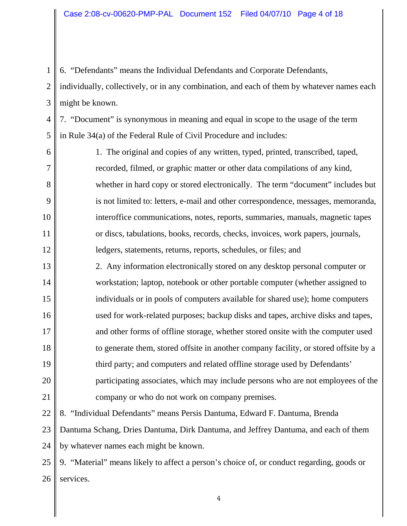6. "Defendants" means the Individual Defendants and Corporate Defendants,

 $\mathcal{D}_{\mathcal{L}}$ 3 individually, collectively, or in any combination, and each of them by whatever names each might be known.

4 5 7. "Document" is synonymous in meaning and equal in scope to the usage of the term in Rule 34(a) of the Federal Rule of Civil Procedure and includes:

6 7

8

9

10

11

12

1

1. The original and copies of any written, typed, printed, transcribed, taped, recorded, filmed, or graphic matter or other data compilations of any kind, whether in hard copy or stored electronically. The term "document" includes but is not limited to: letters, e-mail and other correspondence, messages, memoranda, interoffice communications, notes, reports, summaries, manuals, magnetic tapes or discs, tabulations, books, records, checks, invoices, work papers, journals, ledgers, statements, returns, reports, schedules, or files; and

13 14 15 16 17 18 19 20 21 2. Any information electronically stored on any desktop personal computer or workstation; laptop, notebook or other portable computer (whether assigned to individuals or in pools of computers available for shared use); home computers used for work-related purposes; backup disks and tapes, archive disks and tapes, and other forms of offline storage, whether stored onsite with the computer used to generate them, stored offsite in another company facility, or stored offsite by a third party; and computers and related offline storage used by Defendants' participating associates, which may include persons who are not employees of the company or who do not work on company premises.

22 8. "Individual Defendants" means Persis Dantuma, Edward F. Dantuma, Brenda

23 24 Dantuma Schang, Dries Dantuma, Dirk Dantuma, and Jeffrey Dantuma, and each of them by whatever names each might be known.

25 26 9. "Material" means likely to affect a person's choice of, or conduct regarding, goods or services.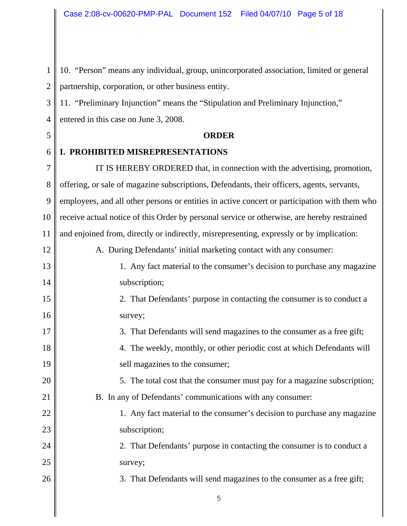1  $\mathcal{D}_{\mathcal{L}}$ 10. "Person" means any individual, group, unincorporated association, limited or general partnership, corporation, or other business entity.

3 4 11. "Preliminary Injunction" means the "Stipulation and Preliminary Injunction," entered in this case on June 3, 2008.

## 5 6 7

12

15

16

17

18

19

20

21

22

23

24

25

26

# **ORDER**

### **I. PROHIBITED MISREPRESENTATIONS**

8 9 10 11 IT IS HEREBY ORDERED that, in connection with the advertising, promotion, offering, or sale of magazine subscriptions, Defendants, their officers, agents, servants, employees, and all other persons or entities in active concert or participation with them who receive actual notice of this Order by personal service or otherwise, are hereby restrained and enjoined from, directly or indirectly, misrepresenting, expressly or by implication:

A. During Defendants' initial marketing contact with any consumer:

#### 13 14 1. Any fact material to the consumer's decision to purchase any magazine subscription;

2. That Defendants' purpose in contacting the consumer is to conduct a survey;

3. That Defendants will send magazines to the consumer as a free gift;

4. The weekly, monthly, or other periodic cost at which Defendants will sell magazines to the consumer;

5. The total cost that the consumer must pay for a magazine subscription;

B. In any of Defendants' communications with any consumer:

 $\sim$  5

1. Any fact material to the consumer's decision to purchase any magazine subscription;

2. That Defendants' purpose in contacting the consumer is to conduct a survey;

3. That Defendants will send magazines to the consumer as a free gift;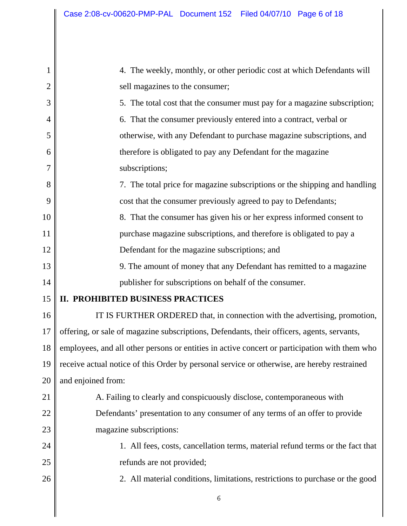| 1  | 4. The weekly, monthly, or other periodic cost at which Defendants will                       |  |
|----|-----------------------------------------------------------------------------------------------|--|
| 2  | sell magazines to the consumer;                                                               |  |
| 3  | 5. The total cost that the consumer must pay for a magazine subscription;                     |  |
| 4  | 6. That the consumer previously entered into a contract, verbal or                            |  |
| 5  | otherwise, with any Defendant to purchase magazine subscriptions, and                         |  |
| 6  | therefore is obligated to pay any Defendant for the magazine                                  |  |
| 7  | subscriptions;                                                                                |  |
| 8  | 7. The total price for magazine subscriptions or the shipping and handling                    |  |
| 9  | cost that the consumer previously agreed to pay to Defendants;                                |  |
| 10 | 8. That the consumer has given his or her express informed consent to                         |  |
| 11 | purchase magazine subscriptions, and therefore is obligated to pay a                          |  |
| 12 | Defendant for the magazine subscriptions; and                                                 |  |
| 13 | 9. The amount of money that any Defendant has remitted to a magazine                          |  |
| 14 | publisher for subscriptions on behalf of the consumer.                                        |  |
| 15 | II. PROHIBITED BUSINESS PRACTICES                                                             |  |
| 16 | IT IS FURTHER ORDERED that, in connection with the advertising, promotion,                    |  |
| 17 | offering, or sale of magazine subscriptions, Defendants, their officers, agents, servants,    |  |
| 18 | employees, and all other persons or entities in active concert or participation with them who |  |
| 19 | receive actual notice of this Order by personal service or otherwise, are hereby restrained   |  |
| 20 | and enjoined from:                                                                            |  |
| 21 | A. Failing to clearly and conspicuously disclose, contemporaneous with                        |  |
| 22 | Defendants' presentation to any consumer of any terms of an offer to provide                  |  |
| 23 | magazine subscriptions:                                                                       |  |
| 24 | 1. All fees, costs, cancellation terms, material refund terms or the fact that                |  |
| 25 | refunds are not provided;                                                                     |  |
| 26 | 2. All material conditions, limitations, restrictions to purchase or the good                 |  |
|    | 6                                                                                             |  |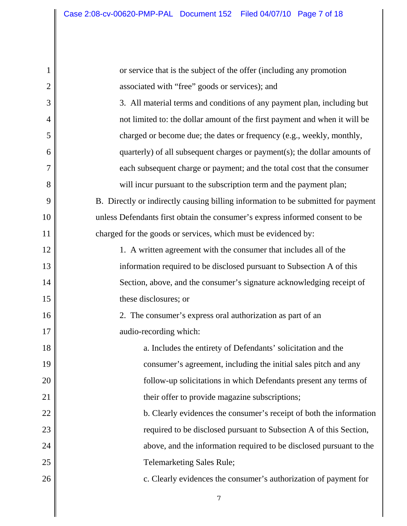| 1              | or service that is the subject of the offer (including any promotion              |
|----------------|-----------------------------------------------------------------------------------|
| $\overline{2}$ | associated with "free" goods or services); and                                    |
| 3              | 3. All material terms and conditions of any payment plan, including but           |
| 4              | not limited to: the dollar amount of the first payment and when it will be        |
| 5              | charged or become due; the dates or frequency (e.g., weekly, monthly,             |
| 6              | quarterly) of all subsequent charges or payment(s); the dollar amounts of         |
| 7              | each subsequent charge or payment; and the total cost that the consumer           |
| 8              | will incur pursuant to the subscription term and the payment plan;                |
| 9              | B. Directly or indirectly causing billing information to be submitted for payment |
| 10             | unless Defendants first obtain the consumer's express informed consent to be      |
| 11             | charged for the goods or services, which must be evidenced by:                    |
| 12             | 1. A written agreement with the consumer that includes all of the                 |
| 13             | information required to be disclosed pursuant to Subsection A of this             |
| 14             | Section, above, and the consumer's signature acknowledging receipt of             |
| 15             | these disclosures; or                                                             |
| 16             | 2. The consumer's express oral authorization as part of an                        |
| 17             | audio-recording which:                                                            |
| 18             | a. Includes the entirety of Defendants' solicitation and the                      |
| 19             | consumer's agreement, including the initial sales pitch and any                   |
| 20             | follow-up solicitations in which Defendants present any terms of                  |
| 21             | their offer to provide magazine subscriptions;                                    |
| 22             | b. Clearly evidences the consumer's receipt of both the information               |
| 23             | required to be disclosed pursuant to Subsection A of this Section,                |
| 24             | above, and the information required to be disclosed pursuant to the               |
| $25\,$         | <b>Telemarketing Sales Rule;</b>                                                  |
| 26             | c. Clearly evidences the consumer's authorization of payment for                  |
|                |                                                                                   |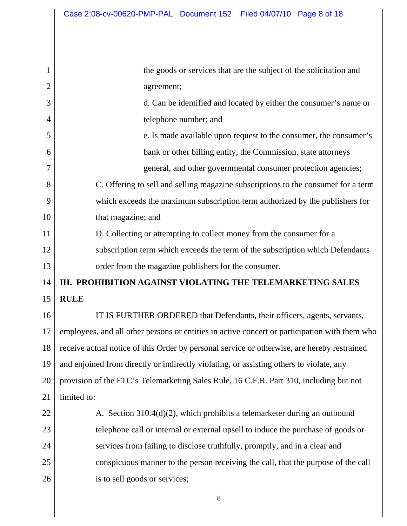| 1              | the goods or services that are the subject of the solicitation and                            |  |
|----------------|-----------------------------------------------------------------------------------------------|--|
| $\overline{2}$ | agreement;                                                                                    |  |
| 3              | d. Can be identified and located by either the consumer's name or                             |  |
| 4              | telephone number; and                                                                         |  |
| 5              | e. Is made available upon request to the consumer, the consumer's                             |  |
| 6              | bank or other billing entity, the Commission, state attorneys                                 |  |
| 7              | general, and other governmental consumer protection agencies;                                 |  |
| 8              | C. Offering to sell and selling magazine subscriptions to the consumer for a term             |  |
| 9              | which exceeds the maximum subscription term authorized by the publishers for                  |  |
| 10             | that magazine; and                                                                            |  |
| 11             | D. Collecting or attempting to collect money from the consumer for a                          |  |
| 12             | subscription term which exceeds the term of the subscription which Defendants                 |  |
| 13             | order from the magazine publishers for the consumer.                                          |  |
| 14             | III. PROHIBITION AGAINST VIOLATING THE TELEMARKETING SALES                                    |  |
| 15             | <b>RULE</b>                                                                                   |  |
| 16             | IT IS FURTHER ORDERED that Defendants, their officers, agents, servants,                      |  |
| 17             | employees, and all other persons or entities in active concert or participation with them who |  |
| 18             | receive actual notice of this Order by personal service or otherwise, are hereby restrained   |  |
| 19             | and enjoined from directly or indirectly violating, or assisting others to violate, any       |  |
| 20             | provision of the FTC's Telemarketing Sales Rule, 16 C.F.R. Part 310, including but not        |  |
| 21             | limited to:                                                                                   |  |
| 22             | A. Section 310.4(d)(2), which prohibits a telemarketer during an outbound                     |  |
| 23             | telephone call or internal or external upsell to induce the purchase of goods or              |  |
| 24             | services from failing to disclose truthfully, promptly, and in a clear and                    |  |
| 25             | conspicuous manner to the person receiving the call, that the purpose of the call             |  |
| 26             | is to sell goods or services;                                                                 |  |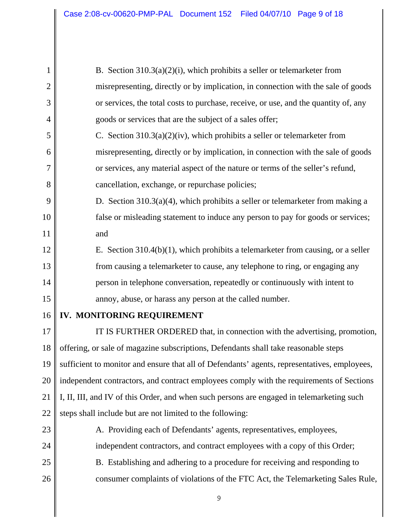| 1              | B. Section $310.3(a)(2)(i)$ , which prohibits a seller or telemarketer from                  |  |
|----------------|----------------------------------------------------------------------------------------------|--|
| $\overline{2}$ | misrepresenting, directly or by implication, in connection with the sale of goods            |  |
| 3              | or services, the total costs to purchase, receive, or use, and the quantity of, any          |  |
| 4              | goods or services that are the subject of a sales offer;                                     |  |
| 5              | C. Section $310.3(a)(2)(iv)$ , which prohibits a seller or telemarketer from                 |  |
| 6              | misrepresenting, directly or by implication, in connection with the sale of goods            |  |
| 7              | or services, any material aspect of the nature or terms of the seller's refund,              |  |
| 8              | cancellation, exchange, or repurchase policies;                                              |  |
| 9              | D. Section $310.3(a)(4)$ , which prohibits a seller or telemarketer from making a            |  |
| 10             | false or misleading statement to induce any person to pay for goods or services;             |  |
| 11             | and                                                                                          |  |
| 12             | E. Section $310.4(b)(1)$ , which prohibits a telemarketer from causing, or a seller          |  |
| 13             | from causing a telemarketer to cause, any telephone to ring, or engaging any                 |  |
| 14             | person in telephone conversation, repeatedly or continuously with intent to                  |  |
| 15             | annoy, abuse, or harass any person at the called number.                                     |  |
| 16             | IV. MONITORING REQUIREMENT                                                                   |  |
| 17             | IT IS FURTHER ORDERED that, in connection with the advertising, promotion,                   |  |
| 18             | offering, or sale of magazine subscriptions, Defendants shall take reasonable steps          |  |
| 19             | sufficient to monitor and ensure that all of Defendants' agents, representatives, employees, |  |
| 20             | independent contractors, and contract employees comply with the requirements of Sections     |  |
| 21             | I, II, III, and IV of this Order, and when such persons are engaged in telemarketing such    |  |
| 22             | steps shall include but are not limited to the following:                                    |  |
| 23             | A. Providing each of Defendants' agents, representatives, employees,                         |  |
| 24             | independent contractors, and contract employees with a copy of this Order;                   |  |
| 25             | B. Establishing and adhering to a procedure for receiving and responding to                  |  |
| 26             | consumer complaints of violations of the FTC Act, the Telemarketing Sales Rule,              |  |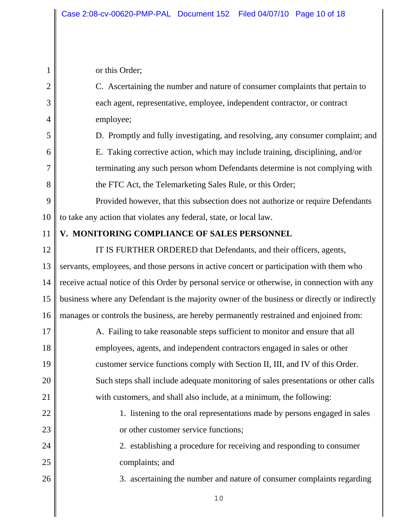or this Order;

26

1  $\mathcal{D}_{\mathcal{L}}$ 3 4 5 6 7 8 9 10 11 12 13 14 15 16 17 18 19 20 21 22 23 24 25 C. Ascertaining the number and nature of consumer complaints that pertain to each agent, representative, employee, independent contractor, or contract employee; D. Promptly and fully investigating, and resolving, any consumer complaint; and E. Taking corrective action, which may include training, disciplining, and/or terminating any such person whom Defendants determine is not complying with the FTC Act, the Telemarketing Sales Rule, or this Order; Provided however, that this subsection does not authorize or require Defendants to take any action that violates any federal, state, or local law. **V. MONITORING COMPLIANCE OF SALES PERSONNEL** IT IS FURTHER ORDERED that Defendants, and their officers, agents, servants, employees, and those persons in active concert or participation with them who receive actual notice of this Order by personal service or otherwise, in connection with any business where any Defendant is the majority owner of the business or directly or indirectly manages or controls the business, are hereby permanently restrained and enjoined from: A. Failing to take reasonable steps sufficient to monitor and ensure that all employees, agents, and independent contractors engaged in sales or other customer service functions comply with Section II, III, and IV of this Order. Such steps shall include adequate monitoring of sales presentations or other calls with customers, and shall also include, at a minimum, the following: 1. listening to the oral representations made by persons engaged in sales or other customer service functions; 2. establishing a procedure for receiving and responding to consumer complaints; and

3. ascertaining the number and nature of consumer complaints regarding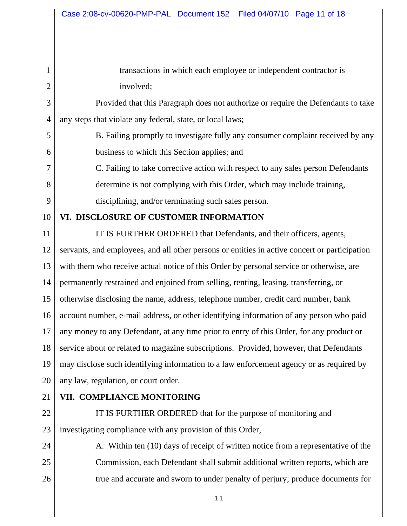| 1              | transactions in which each employee or independent contractor is                              |  |
|----------------|-----------------------------------------------------------------------------------------------|--|
| $\overline{2}$ | involved;                                                                                     |  |
| 3              | Provided that this Paragraph does not authorize or require the Defendants to take             |  |
| $\overline{4}$ | any steps that violate any federal, state, or local laws;                                     |  |
| 5              | B. Failing promptly to investigate fully any consumer complaint received by any               |  |
| 6              | business to which this Section applies; and                                                   |  |
| 7              | C. Failing to take corrective action with respect to any sales person Defendants              |  |
| 8              | determine is not complying with this Order, which may include training,                       |  |
| 9              | disciplining, and/or terminating such sales person.                                           |  |
| 10             | VI. DISCLOSURE OF CUSTOMER INFORMATION                                                        |  |
| 11             | IT IS FURTHER ORDERED that Defendants, and their officers, agents,                            |  |
| 12             | servants, and employees, and all other persons or entities in active concert or participation |  |
| 13             | with them who receive actual notice of this Order by personal service or otherwise, are       |  |
| 14             | permanently restrained and enjoined from selling, renting, leasing, transferring, or          |  |
| 15             | otherwise disclosing the name, address, telephone number, credit card number, bank            |  |
| 16             | account number, e-mail address, or other identifying information of any person who paid       |  |
| 17             | any money to any Defendant, at any time prior to entry of this Order, for any product or      |  |
| 18             | service about or related to magazine subscriptions. Provided, however, that Defendants        |  |
| 19             | may disclose such identifying information to a law enforcement agency or as required by       |  |
| 20             | any law, regulation, or court order.                                                          |  |
| 21             | VII. COMPLIANCE MONITORING                                                                    |  |
| 22             | IT IS FURTHER ORDERED that for the purpose of monitoring and                                  |  |
| 23             | investigating compliance with any provision of this Order,                                    |  |
| 24             | A. Within ten (10) days of receipt of written notice from a representative of the             |  |

25 26 Commission, each Defendant shall submit additional written reports, which are true and accurate and sworn to under penalty of perjury; produce documents for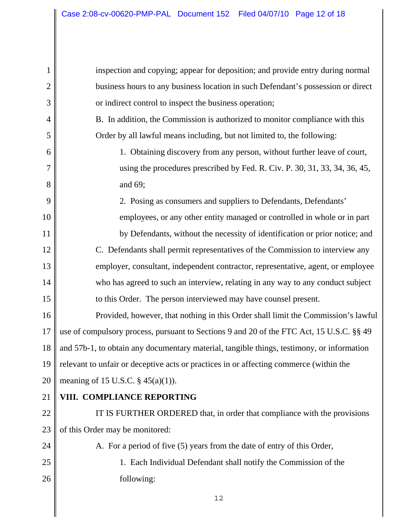inspection and copying; appear for deposition; and provide entry during normal business hours to any business location in such Defendant's possession or direct or indirect control to inspect the business operation;

B. In addition, the Commission is authorized to monitor compliance with this Order by all lawful means including, but not limited to, the following:

1. Obtaining discovery from any person, without further leave of court, using the procedures prescribed by Fed. R. Civ. P. 30, 31, 33, 34, 36, 45, and 69;

2. Posing as consumers and suppliers to Defendants, Defendants'

employees, or any other entity managed or controlled in whole or in part by Defendants, without the necessity of identification or prior notice; and C. Defendants shall permit representatives of the Commission to interview any employer, consultant, independent contractor, representative, agent, or employee who has agreed to such an interview, relating in any way to any conduct subject to this Order. The person interviewed may have counsel present.

16 17 18 19 20 Provided, however, that nothing in this Order shall limit the Commission's lawful use of compulsory process, pursuant to Sections 9 and 20 of the FTC Act, 15 U.S.C. §§ 49 and 57b-1, to obtain any documentary material, tangible things, testimony, or information relevant to unfair or deceptive acts or practices in or affecting commerce (within the meaning of 15 U.S.C.  $\S$  45(a)(1)).

21

1

2

3

4

5

6

7

8

9

10

11

12

13

14

15

#### **VIII. COMPLIANCE REPORTING**

22 23 IT IS FURTHER ORDERED that, in order that compliance with the provisions of this Order may be monitored:

A. For a period of five (5) years from the date of entry of this Order,

25 26

24

1. Each Individual Defendant shall notify the Commission of the following: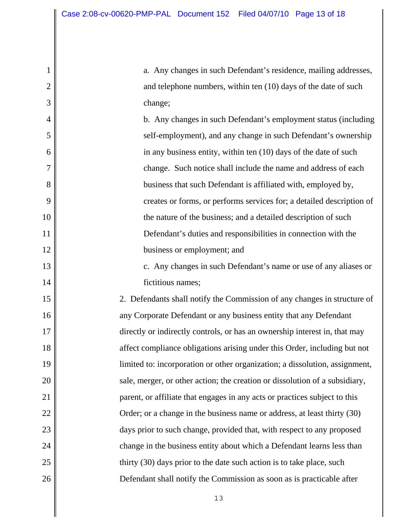2

3

4

5

6

7

8

9

10

11

12

13

14

15

16

17

18

19

20

21

22

23

24

25

26

a. Any changes in such Defendant's residence, mailing addresses, and telephone numbers, within ten (10) days of the date of such change;

b. Any changes in such Defendant's employment status (including self-employment), and any change in such Defendant's ownership in any business entity, within ten (10) days of the date of such change. Such notice shall include the name and address of each business that such Defendant is affiliated with, employed by, creates or forms, or performs services for; a detailed description of the nature of the business; and a detailed description of such Defendant's duties and responsibilities in connection with the business or employment; and

c. Any changes in such Defendant's name or use of any aliases or fictitious names;

2. Defendants shall notify the Commission of any changes in structure of any Corporate Defendant or any business entity that any Defendant directly or indirectly controls, or has an ownership interest in, that may affect compliance obligations arising under this Order, including but not limited to: incorporation or other organization; a dissolution, assignment, sale, merger, or other action; the creation or dissolution of a subsidiary, parent, or affiliate that engages in any acts or practices subject to this Order; or a change in the business name or address, at least thirty (30) days prior to such change, provided that, with respect to any proposed change in the business entity about which a Defendant learns less than thirty (30) days prior to the date such action is to take place, such Defendant shall notify the Commission as soon as is practicable after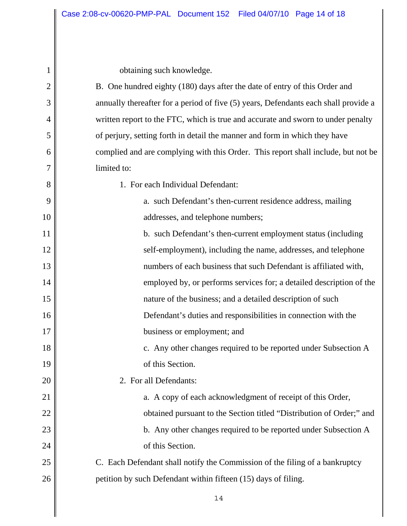obtaining such knowledge.

| 1              | obtaining such knowledge.                                                           |  |
|----------------|-------------------------------------------------------------------------------------|--|
| $\overline{2}$ | B. One hundred eighty (180) days after the date of entry of this Order and          |  |
| 3              | annually thereafter for a period of five (5) years, Defendants each shall provide a |  |
| 4              | written report to the FTC, which is true and accurate and sworn to under penalty    |  |
| 5              | of perjury, setting forth in detail the manner and form in which they have          |  |
| 6              | complied and are complying with this Order. This report shall include, but not be   |  |
| 7              | limited to:                                                                         |  |
| 8              | 1. For each Individual Defendant:                                                   |  |
| 9              | a. such Defendant's then-current residence address, mailing                         |  |
| 10             | addresses, and telephone numbers;                                                   |  |
| 11             | b. such Defendant's then-current employment status (including                       |  |
| 12             | self-employment), including the name, addresses, and telephone                      |  |
| 13             | numbers of each business that such Defendant is affiliated with,                    |  |
| 14             | employed by, or performs services for; a detailed description of the                |  |
| 15             | nature of the business; and a detailed description of such                          |  |
| 16             | Defendant's duties and responsibilities in connection with the                      |  |
| 17             | business or employment; and                                                         |  |
| 18             | c. Any other changes required to be reported under Subsection A                     |  |
| 19             | of this Section.                                                                    |  |
| 20             | 2. For all Defendants:                                                              |  |
| 21             | a. A copy of each acknowledgment of receipt of this Order,                          |  |
| 22             | obtained pursuant to the Section titled "Distribution of Order;" and                |  |
| 23             | b. Any other changes required to be reported under Subsection A                     |  |
| 24             | of this Section.                                                                    |  |
| 25             | C. Each Defendant shall notify the Commission of the filing of a bankruptcy         |  |
| 26             | petition by such Defendant within fifteen (15) days of filing.                      |  |
|                |                                                                                     |  |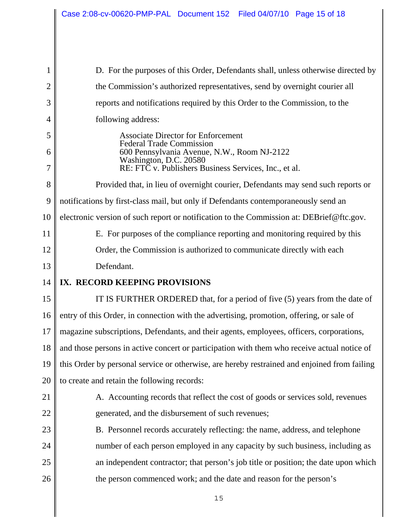1  $\mathcal{D}_{\mathcal{L}}$ 3 4 5 6 7 8 9 10 11 12 13 14 15 16 17 18 19 20 21 22 23 24 25 26 D. For the purposes of this Order, Defendants shall, unless otherwise directed by the Commission's authorized representatives, send by overnight courier all reports and notifications required by this Order to the Commission, to the following address: Associate Director for Enforcement Federal Trade Commission 600 Pennsylvania Avenue, N.W., Room NJ-2122 Washington, D.C. 20580 RE: FTC v. Publishers Business Services, Inc., et al. Provided that, in lieu of overnight courier, Defendants may send such reports or notifications by first-class mail, but only if Defendants contemporaneously send an electronic version of such report or notification to the Commission at: DEBrief@ftc.gov. E. For purposes of the compliance reporting and monitoring required by this Order, the Commission is authorized to communicate directly with each Defendant. **IX. RECORD KEEPING PROVISIONS** IT IS FURTHER ORDERED that, for a period of five (5) years from the date of entry of this Order, in connection with the advertising, promotion, offering, or sale of magazine subscriptions, Defendants, and their agents, employees, officers, corporations, and those persons in active concert or participation with them who receive actual notice of this Order by personal service or otherwise, are hereby restrained and enjoined from failing to create and retain the following records: A. Accounting records that reflect the cost of goods or services sold, revenues generated, and the disbursement of such revenues; B. Personnel records accurately reflecting: the name, address, and telephone number of each person employed in any capacity by such business, including as an independent contractor; that person's job title or position; the date upon which the person commenced work; and the date and reason for the person's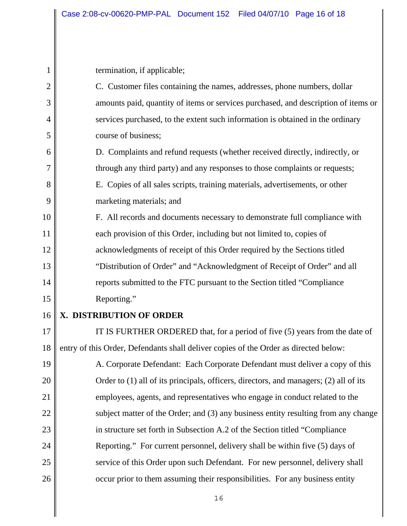1  $\mathcal{D}_{\mathcal{L}}$ 3 4 5 6 7 8 9 10 11 12 13 14 15 16 17 18 19 20 21 22 23 24 25 termination, if applicable; C. Customer files containing the names, addresses, phone numbers, dollar amounts paid, quantity of items or services purchased, and description of items or services purchased, to the extent such information is obtained in the ordinary course of business; D. Complaints and refund requests (whether received directly, indirectly, or through any third party) and any responses to those complaints or requests; E. Copies of all sales scripts, training materials, advertisements, or other marketing materials; and F. All records and documents necessary to demonstrate full compliance with each provision of this Order, including but not limited to, copies of acknowledgments of receipt of this Order required by the Sections titled "Distribution of Order" and "Acknowledgment of Receipt of Order" and all reports submitted to the FTC pursuant to the Section titled "Compliance Reporting." **X. DISTRIBUTION OF ORDER** IT IS FURTHER ORDERED that, for a period of five (5) years from the date of entry of this Order, Defendants shall deliver copies of the Order as directed below: A. Corporate Defendant: Each Corporate Defendant must deliver a copy of this Order to (1) all of its principals, officers, directors, and managers; (2) all of its employees, agents, and representatives who engage in conduct related to the subject matter of the Order; and (3) any business entity resulting from any change in structure set forth in Subsection A.2 of the Section titled "Compliance Reporting." For current personnel, delivery shall be within five (5) days of service of this Order upon such Defendant. For new personnel, delivery shall

occur prior to them assuming their responsibilities. For any business entity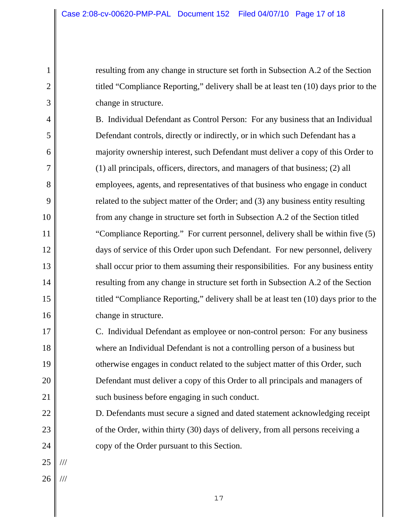resulting from any change in structure set forth in Subsection A.2 of the Section titled "Compliance Reporting," delivery shall be at least ten (10) days prior to the change in structure.

B. Individual Defendant as Control Person: For any business that an Individual Defendant controls, directly or indirectly, or in which such Defendant has a majority ownership interest, such Defendant must deliver a copy of this Order to (1) all principals, officers, directors, and managers of that business; (2) all employees, agents, and representatives of that business who engage in conduct related to the subject matter of the Order; and (3) any business entity resulting from any change in structure set forth in Subsection A.2 of the Section titled "Compliance Reporting." For current personnel, delivery shall be within five (5) days of service of this Order upon such Defendant. For new personnel, delivery shall occur prior to them assuming their responsibilities. For any business entity resulting from any change in structure set forth in Subsection A.2 of the Section titled "Compliance Reporting," delivery shall be at least ten (10) days prior to the change in structure.

C. Individual Defendant as employee or non-control person: For any business where an Individual Defendant is not a controlling person of a business but otherwise engages in conduct related to the subject matter of this Order, such Defendant must deliver a copy of this Order to all principals and managers of such business before engaging in such conduct.

D. Defendants must secure a signed and dated statement acknowledging receipt of the Order, within thirty (30) days of delivery, from all persons receiving a copy of the Order pursuant to this Section.

25 ///

1

 $\mathcal{D}_{\mathcal{L}}$ 

3

4

5

6

7

8

9

10

11

12

13

14

15

16

17

18

19

20

21

22

23